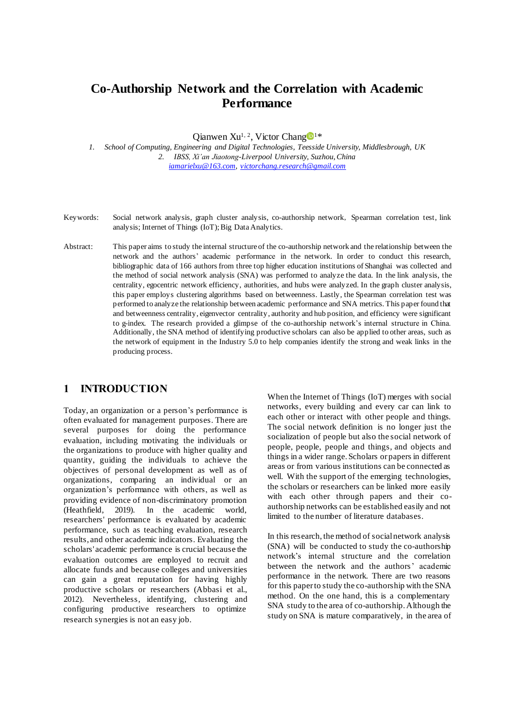# **Co-Authorship Network and the Correlation with Academic Performance**

Qianwen Xu<sup>1, 2</sup>, Victor Chang  $\mathbb{D}^{1*}$ 

*1. School of Computing, Engineering and Digital Technologies, Teesside University, Middlesbrough, UK 2. IBSS, Xi'an Jiaotong-Liverpool University, Suzhou, China [iamarielxu@163.com,](mailto:iamarielxu@163.com) [victorchang.research@gmail.com](mailto:victorchang.research@gmail.com)*

- Keywords: Social network analysis, graph cluster analysis, co-authorship network, Spearman correlation test, link analysis; Internet of Things (IoT); Big Data Analytics.
- Abstract: This paper aims to study the internal structure of the co-authorship network and the relationship between the network and the authors' academic performance in the network. In order to conduct this research, bibliographic data of 166 authors from three top higher education institutions of Shanghai was collected and the method of social network analysis (SNA) was performed to analyze the data. In the link analysis, the centrality, egocentric network efficiency, authorities, and hubs were analyzed. In the graph cluster analysis, this paper employs clustering algorithms based on betweenness. Lastly, the Spearman correlation test was performed to analyze the relationship between academic performance and SNA metrics. This paper found that and betweenness centrality, eigenvector centrality, authority and hub position, and efficiency were significant to g-index. The research provided a glimpse of the co-authorship network's internal structure in China. Additionally, the SNA method of identifying productive scholars can also be applied to other areas, such as the network of equipment in the Industry 5.0 to help companies identify the strong and weak links in the producing process.

## **1 INTRODUCTION**

Today, an organization or a person's performance is often evaluated for management purposes. There are several purposes for doing the performance evaluation, including motivating the individuals or the organizations to produce with higher quality and quantity, guiding the individuals to achieve the objectives of personal development as well as of organizations, comparing an individual or an organization's performance with others, as well as providing evidence of non-discriminatory promotion (Heathfield, 2019). In the academic world, researchers' performance is evaluated by academic performance, such as teaching evaluation, research results, and other academic indicators. Evaluating the scholars' academic performance is crucial because the evaluation outcomes are employed to recruit and allocate funds and because colleges and universities can gain a great reputation for having highly productive scholars or researchers (Abbasi et al., 2012). Nevertheless, identifying, clustering and configuring productive researchers to optimize research synergies is not an easy job.

When the Internet of Things (IoT) merges with social networks, every building and every car can link to each other or interact with other people and things. The social network definition is no longer just the socialization of people but also the social network of people, people, people and things, and objects and things in a wider range. Scholars or papers in different areas or from various institutions can be connected as well. With the support of the emerging technologies, the scholars or researchers can be linked more easily with each other through papers and their coauthorship networks can be established easily and not limited to the number of literature databases.

In this research, the method of social network analysis (SNA) will be conducted to study the co-authorship network's internal structure and the correlation between the network and the authors' academic performance in the network. There are two reasons for this paper to study the co-authorship with the SNA method. On the one hand, this is a complementary SNA study to the area of co-authorship. Although the study on SNA is mature comparatively, in the area of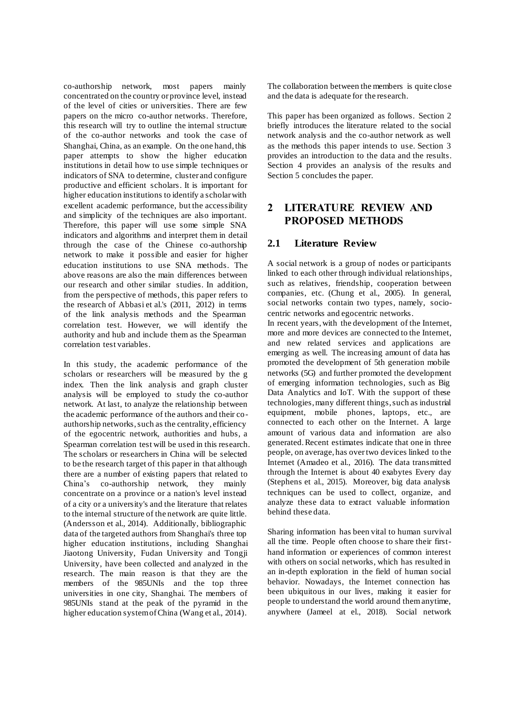co-authorship network, most papers mainly concentrated on the country or province level, instead of the level of cities or universities. There are few papers on the micro co-author networks. Therefore, this research will try to outline the internal structure of the co-author networks and took the case of Shanghai, China, as an example. On the one hand, this paper attempts to show the higher education institutions in detail how to use simple techniques or indicators of SNA to determine, cluster and configure productive and efficient scholars. It is important for higher education institutions to identify a scholar with excellent academic performance, but the accessibility and simplicity of the techniques are also important. Therefore, this paper will use some simple SNA indicators and algorithms and interpret them in detail through the case of the Chinese co-authorship network to make it possible and easier for higher education institutions to use SNA methods. The above reasons are also the main differences between our research and other similar studies. In addition, from the perspective of methods, this paper refers to the research of Abbasi et al.'s (2011, 2012) in terms of the link analysis methods and the Spearman correlation test. However, we will identify the authority and hub and include them as the Spearman correlation test variables.

In this study, the academic performance of the scholars or researchers will be measured by the g index. Then the link analysis and graph cluster analysis will be employed to study the co-author network. At last, to analyze the relationship between the academic performance of the authors and their coauthorship networks, such as the centrality, efficiency of the egocentric network, authorities and hubs, a Spearman correlation test will be used in this research. The scholars or researchers in China will be selected to be the research target of this paper in that although there are a number of existing papers that related to China's co-authorship network, they mainly concentrate on a province or a nation's level instead of a city or a university's and the literature that relates to the internal structure of the network are quite little. (Andersson et al., 2014). Additionally, bibliographic data of the targeted authors from Shanghai's three top higher education institutions, including Shanghai Jiaotong University, Fudan University and Tongji University, have been collected and analyzed in the research. The main reason is that they are the members of the 985UNIs and the top three universities in one city, Shanghai. The members of 985UNIs stand at the peak of the pyramid in the higher education systemof China (Wang et al., 2014).

The collaboration between the members is quite close and the data is adequate for the research.

This paper has been organized as follows. Section 2 briefly introduces the literature related to the social network analysis and the co-author network as well as the methods this paper intends to use. Section 3 provides an introduction to the data and the results. Section 4 provides an analysis of the results and Section 5 concludes the paper.

## **2 LITERATURE REVIEW AND PROPOSED METHODS**

#### **2.1 Literature Review**

A social network is a group of nodes or participants linked to each other through individual relationships, such as relatives, friendship, cooperation between companies, etc. (Chung et al., 2005). In general, social networks contain two types, namely, sociocentric networks and egocentric networks.

In recent years, with the development of the Internet, more and more devices are connected to the Internet, and new related services and applications are emerging as well. The increasing amount of data has promoted the development of 5th generation mobile networks (5G) and further promoted the development of emerging information technologies, such as Big Data Analytics and IoT. With the support of these technologies, many different things, such as industrial equipment, mobile phones, laptops, etc., are connected to each other on the Internet. A large amount of various data and information are also generated. Recent estimates indicate that one in three people, on average, has over two devices linked to the Internet (Amadeo et al., 2016). The data transmitted through the Internet is about 40 exabytes Every day (Stephens et al., 2015). Moreover, big data analysis techniques can be used to collect, organize, and analyze these data to extract valuable information behind these data.

Sharing information has been vital to human survival all the time. People often choose to share their firsthand information or experiences of common interest with others on social networks, which has resulted in an in-depth exploration in the field of human social behavior. Nowadays, the Internet connection has been ubiquitous in our lives, making it easier for people to understand the world around them anytime, anywhere (Jameel at el., 2018). Social network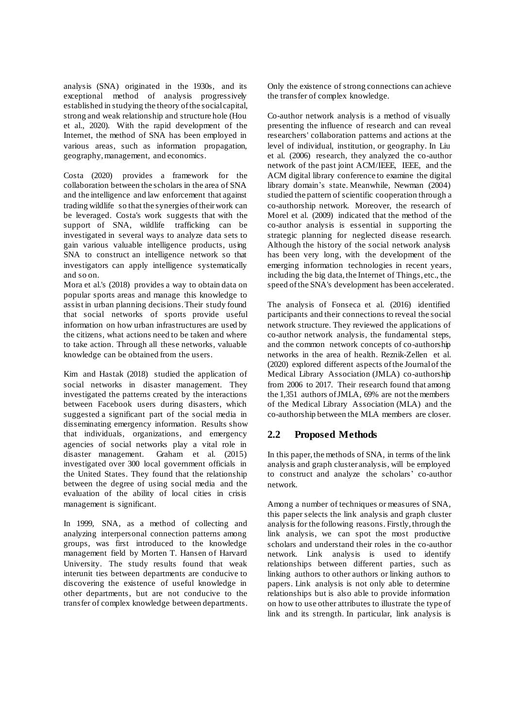analysis (SNA) originated in the 1930s, and its exceptional method of analysis progressively established in studying the theory of the social capital, strong and weak relationship and structure hole (Hou et al., 2020). With the rapid development of the Internet, the method of SNA has been employed in various areas, such as information propagation, geography, management, and economics.

Costa (2020) provides a framework for the collaboration between the scholars in the area of SNA and the intelligence and law enforcement that against trading wildlife so that the synergies of their work can be leveraged. Costa's work suggests that with the support of SNA, wildlife trafficking can be investigated in several ways to analyze data sets to gain various valuable intelligence products, using SNA to construct an intelligence network so that investigators can apply intelligence systematically and so on.

Mora et al.'s (2018) provides a way to obtain data on popular sports areas and manage this knowledge to assist in urban planning decisions. Their study found that social networks of sports provide useful information on how urban infrastructures are used by the citizens, what actions need to be taken and where to take action. Through all these networks, valuable knowledge can be obtained from the users.

Kim and Hastak (2018) studied the application of social networks in disaster management. They investigated the patterns created by the interactions between Facebook users during disasters, which suggested a significant part of the social media in disseminating emergency information. Results show that individuals, organizations, and emergency agencies of social networks play a vital role in disaster management. Graham et al. (2015) investigated over 300 local government officials in the United States. They found that the relationship between the degree of using social media and the evaluation of the ability of local cities in crisis management is significant.

In 1999, SNA, as a method of collecting and analyzing interpersonal connection patterns among groups, was first introduced to the knowledge management field by Morten T. Hansen of Harvard University. The study results found that weak interunit ties between departments are conducive to discovering the existence of useful knowledge in other departments, but are not conducive to the transfer of complex knowledge between departments. Only the existence of strong connections can achieve the transfer of complex knowledge.

Co-author network analysis is a method of visually presenting the influence of research and can reveal researchers' collaboration patterns and actions at the level of individual, institution, or geography. In Liu et al. (2006) research, they analyzed the co-author network of the past joint ACM/IEEE, IEEE, and the ACM digital library conference to examine the digital library domain's state. Meanwhile, Newman (2004) studied the pattern of scientific cooperation through a co-authorship network. Moreover, the research of Morel et al. (2009) indicated that the method of the co-author analysis is essential in supporting the strategic planning for neglected disease research. Although the history of the social network analysis has been very long, with the development of the emerging information technologies in recent years, including the big data, the Internet of Things, etc., the speed of the SNA's development has been accelerated.

The analysis of Fonseca et al. (2016) identified participants and their connections to reveal the social network structure. They reviewed the applications of co-author network analysis, the fundamental steps, and the common network concepts of co-authorship networks in the area of health. Reznik-Zellen et al. (2020) explored different aspects of the Journal of the Medical Library Association (JMLA) co-authorship from 2006 to 2017. Their research found that among the 1,351 authors of JMLA, 69% are not the members of the Medical Library Association (MLA) and the co-authorship between the MLA members are closer.

### **2.2 Proposed Methods**

In this paper, the methods of SNA, in terms of the link analysis and graph cluster analysis, will be employed to construct and analyze the scholars' co-author network.

Among a number of techniques or measures of SNA, this paper selects the link analysis and graph cluster analysis for the following reasons. Firstly, through the link analysis, we can spot the most productive scholars and understand their roles in the co-author network. Link analysis is used to identify relationships between different parties, such as linking authors to other authors or linking authors to papers. Link analysis is not only able to determine relationships but is also able to provide information on how to use other attributes to illustrate the type of link and its strength. In particular, link analysis is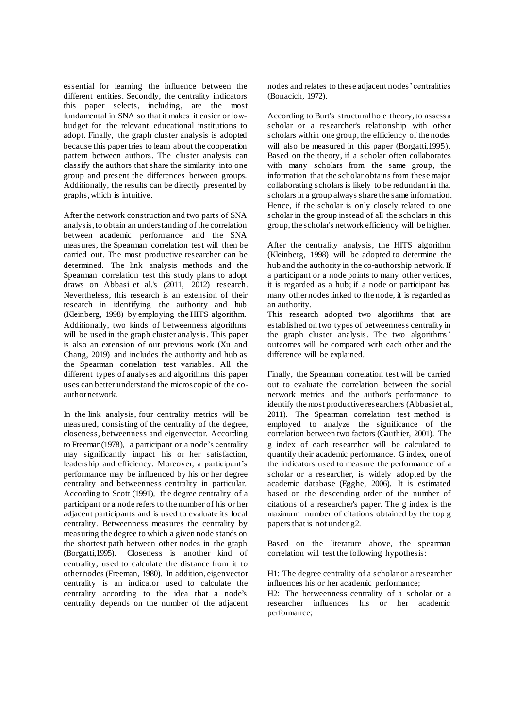essential for learning the influence between the different entities. Secondly, the centrality indicators this paper selects, including, are the most fundamental in SNA so that it makes it easier or lowbudget for the relevant educational institutions to adopt. Finally, the graph cluster analysis is adopted because this paper tries to learn about the cooperation pattern between authors. The cluster analysis can classify the authors that share the similarity into one group and present the differences between groups. Additionally, the results can be directly presented by graphs, which is intuitive.

After the network construction and two parts of SNA analysis, to obtain an understanding of the correlation between academic performance and the SNA measures, the Spearman correlation test will then be carried out. The most productive researcher can be determined. The link analysis methods and the Spearman correlation test this study plans to adopt draws on Abbasi et al.'s (2011, 2012) research. Nevertheless, this research is an extension of their research in identifying the authority and hub (Kleinberg, 1998) by employing the HITS algorithm. Additionally, two kinds of betweenness algorithms will be used in the graph cluster analysis. This paper is also an extension of our previous work (Xu and Chang, 2019) and includes the authority and hub as the Spearman correlation test variables. All the different types of analyses and algorithms this paper uses can better understand the microscopic of the coauthor network.

In the link analysis, four centrality metrics will be measured, consisting of the centrality of the degree, closeness, betweenness and eigenvector. According to Freeman(1978), a participant or a node's centrality may significantly impact his or her satisfaction, leadership and efficiency. Moreover, a participant's performance may be influenced by his or her degree centrality and betweenness centrality in particular. According to Scott (1991), the degree centrality of a participant or a node refers to the number of his or her adjacent participants and is used to evaluate its local centrality. Betweenness measures the centrality by measuring the degree to which a given node stands on the shortest path between other nodes in the graph (Borgatti,1995). Closeness is another kind of centrality, used to calculate the distance from it to other nodes (Freeman, 1980). In addition, eigenvector centrality is an indicator used to calculate the centrality according to the idea that a node's centrality depends on the number of the adjacent

nodes and relates to these adjacent nodes' centralities (Bonacich, 1972).

According to Burt's structural hole theory,to assess a scholar or a researcher's relationship with other scholars within one group, the efficiency of the nodes will also be measured in this paper (Borgatti, 1995). Based on the theory, if a scholar often collaborates with many scholars from the same group, the information that the scholar obtains from these major collaborating scholars is likely to be redundant in that scholars in a group always share the same information. Hence, if the scholar is only closely related to one scholar in the group instead of all the scholars in this group, the scholar's network efficiency will be higher.

After the centrality analysis, the HITS algorithm (Kleinberg, 1998) will be adopted to determine the hub and the authority in the co-authorship network. If a participant or a node points to many other vertices, it is regarded as a hub; if a node or participant has many other nodes linked to the node, it is regarded as an authority.

This research adopted two algorithms that are established on two types of betweenness centrality in the graph cluster analysis. The two algorithms' outcomes will be compared with each other and the difference will be explained.

Finally, the Spearman correlation test will be carried out to evaluate the correlation between the social network metrics and the author's performance to identify the most productive researchers (Abbasi et al., 2011). The Spearman correlation test method is employed to analyze the significance of the correlation between two factors (Gauthier, 2001). The g index of each researcher will be calculated to quantify their academic performance. G index, one of the indicators used to measure the performance of a scholar or a researcher, is widely adopted by the academic database (Egghe, 2006). It is estimated based on the descending order of the number of citations of a researcher's paper. The g index is the maximum number of citations obtained by the top g papers that is not under g2.

Based on the literature above, the spearman correlation will test the following hypothesis:

H1: The degree centrality of a scholar or a researcher influences his or her academic performance;

H2: The betweenness centrality of a scholar or a researcher influences his or her academic performance;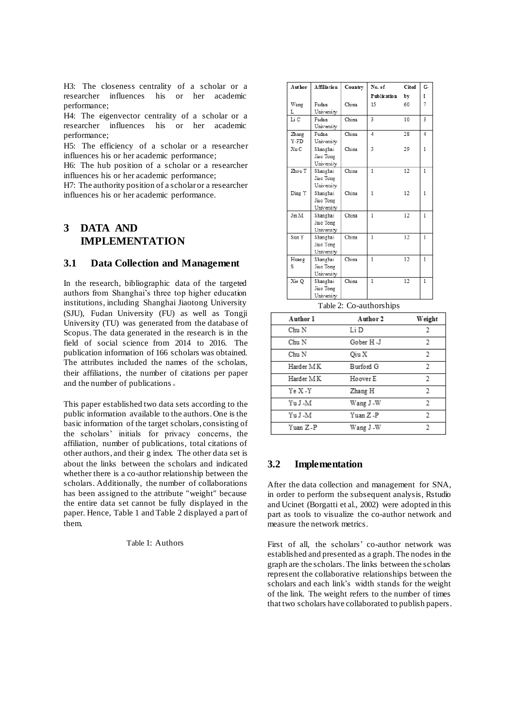H3: The closeness centrality of a scholar or a researcher influences his or her academic performance;

H4: The eigenvector centrality of a scholar or a researcher influences his or her academic performance;

H5: The efficiency of a scholar or a researcher influences his or her academic performance;

H6: The hub position of a scholar or a researcher influences his or her academic performance;

H7: The authority position of a scholar or a researcher influences his or her academic performance.

## **3 DATA AND IMPLEMENTATION**

### **3.1 Data Collection and Management**

In the research, bibliographic data of the targeted authors from Shanghai's three top higher education institutions, including Shanghai Jiaotong University (SJU), Fudan University (FU) as well as Tongji University (TU) was generated from the database of Scopus. The data generated in the research is in the field of social science from 2014 to 2016. The publication information of 166 scholars was obtained. The attributes included the names of the scholars, their affiliations, the number of citations per paper and the number of publications。

This paper established two data sets according to the public information available to the authors. One is the basic information of the target scholars, consisting of the scholars' initials for privacy concerns, the affiliation, number of publications, total citations of other authors, and their g index. The other data set is about the links between the scholars and indicated whether there is a co-author relationship between the scholars. Additionally, the number of collaborations has been assigned to the attribute "weight" because the entire data set cannot be fully displayed in the paper. Hence, Table 1 and Table 2 displayed a part of them.

#### Table 1: Authors

| Author | Affilia tion | Country | No. of       | Cited | G-           |
|--------|--------------|---------|--------------|-------|--------------|
|        |              |         | Publication  | by    | T            |
| Wang   | Fudan        | China   | 15           | 60    | 7            |
| L      | University   |         |              |       |              |
| Li C   | Fudan        | China   | 3            | 10    | 3            |
|        | University   |         |              |       |              |
| Zhang  | Fudan        | China   | 4            | 28    | 4            |
| Y-FD   | University   |         |              |       |              |
| Xu C   | Shanghai     | China   | 3            | 29    | 1            |
|        | Jiao Tong    |         |              |       |              |
|        | University   |         |              |       |              |
| Zhou T | Shanghai     | China   | $\mathbf{1}$ | 12    | $\mathbf{1}$ |
|        | Jiao Tong    |         |              |       |              |
|        | University   |         |              |       |              |
| Ding Y | Shanghai     | China   | 1            | 12    | 1            |
|        | Jiao Tong    |         |              |       |              |
|        | University   |         |              |       |              |
| Jin M  | Shanghai     | China   | $\mathbf{1}$ | 12    | 1            |
|        | Jiao Tong    |         |              |       |              |
|        | University   |         |              |       |              |
| Sun Y  | Shanghai     | China   | $\mathbf{1}$ | 12    | $\mathbf{1}$ |
|        | Jiao Tong    |         |              |       |              |
|        | University   |         |              |       |              |
| Huang  | Shanghai     | China   | $\mathbf{1}$ | 12    | $\mathbf{1}$ |
| S      | Jiao Tong    |         |              |       |              |
|        | University   |         |              |       |              |
| Xie Q  | Shanghai     | China   | 1            | 12    | $\mathbf{1}$ |
|        | Jiao Tong    |         |              |       |              |
|        | University   |         |              |       |              |

Table 2: Co-authorships

| Author 1  | Author 2   | Weight         |
|-----------|------------|----------------|
| Chu N     | Li D       | 2              |
| Chu N     | Gober H -J | 2              |
| Chu N     | Oiu X      | 2              |
| Harder MK | Burford G  | $\mathfrak{D}$ |
| Harder MK | Hoover E   | 2              |
| Ye X -Y   | Zhang H    | 2              |
| Yu J-M    | Wang J -W  | $\mathfrak{D}$ |
| Yu J -M   | Yuan Z -P  | 2              |
| Yuan Z-P  | Wang J -W  | $\mathfrak{D}$ |

### **3.2 Implementation**

After the data collection and management for SNA, in order to perform the subsequent analysis, Rstudio and Ucinet (Borgatti et al., 2002) were adopted in this part as tools to visualize the co-author network and measure the network metrics.

First of all, the scholars' co-author network was established and presented as a graph. The nodes in the graph are the scholars. The links between the scholars represent the collaborative relationships between the scholars and each link's width stands for the weight of the link. The weight refers to the number of times that two scholars have collaborated to publish papers.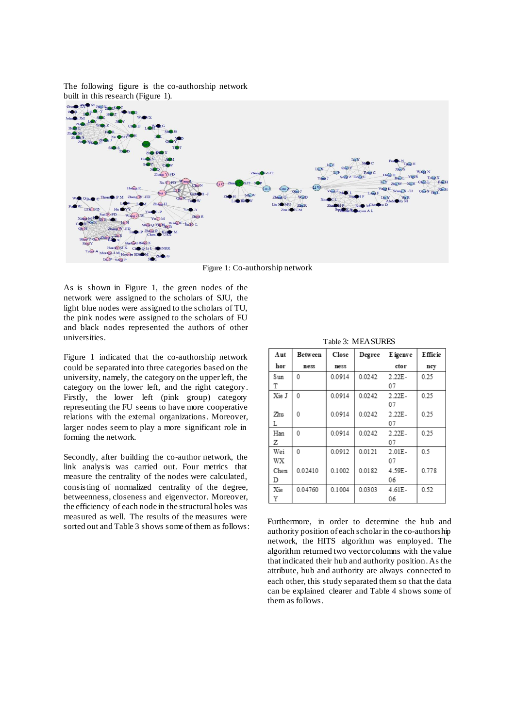The following figure is the co-authorship network built in this research (Figure 1).



Figure 1: Co-authorship network

As is shown in Figure 1, the green nodes of the network were assigned to the scholars of SJU, the light blue nodes were assigned to the scholars of TU, the pink nodes were assigned to the scholars of FU and black nodes represented the authors of other universities.

Figure 1 indicated that the co-authorship network could be separated into three categories based on the university, namely, the category on the upper left, the category on the lower left, and the right category. Firstly, the lower left (pink group) category representing the FU seems to have more cooperative relations with the external organizations. Moreover, larger nodes seem to play a more significant role in forming the network.

Secondly, after building the co-author network, the link analysis was carried out. Four metrics that measure the centrality of the nodes were calculated, consisting of normalized centrality of the degree, betweenness, closeness and eigenvector. Moreover, the efficiency of each node in the structural holes was measured as well. The results of the measures were sorted out and Table 3 shows some of them as follows:

Table 3: MEASURES

| 1 avre <i>3</i> . In Executed |                |        |        |           |                |  |  |  |
|-------------------------------|----------------|--------|--------|-----------|----------------|--|--|--|
| Aut                           | <b>Between</b> | Close  | Degree | E igenve  | <b>Efficie</b> |  |  |  |
| hor                           | ness           | ness   |        | ctor      | ncy            |  |  |  |
| Sun                           | 0              | 0.0914 | 0.0242 | $2.22E -$ | 0.25           |  |  |  |
| T                             |                |        |        | 07        |                |  |  |  |
| Xie J                         | $\mathbf{0}$   | 0.0914 | 0.0242 | 2.22E-    | 0.25           |  |  |  |
|                               |                |        |        | 07        |                |  |  |  |
| Zhu                           | 0              | 0.0914 | 0.0242 | 2.22E-    | 0.25           |  |  |  |
| L                             |                |        |        | 07        |                |  |  |  |
| Han                           | 0              | 0.0914 | 0.0242 | 2.22E-    | 0.25           |  |  |  |
| Ζ                             |                |        |        | 07        |                |  |  |  |
| Wei                           | 0              | 0.0912 | 0.0121 | $2.01E -$ | 0.5            |  |  |  |
| WX                            |                |        |        | 07        |                |  |  |  |
| Chen                          | 0.02410        | 0.1002 | 0.0182 | 4.59E-    | 0.778          |  |  |  |
| D                             |                |        |        | 06        |                |  |  |  |
| Xie                           | 0.04760        | 0.1004 | 0.0303 | $4.61E -$ | 0.52           |  |  |  |
| Υ                             |                |        |        | 06        |                |  |  |  |
|                               |                |        |        |           |                |  |  |  |

Furthermore, in order to determine the hub and authority position of each scholar in the co-authorship network, the HITS algorithm was employed. The algorithm returned two vector columns with the value that indicated their hub and authority position.As the attribute, hub and authority are always connected to each other, this study separated them so that the data can be explained clearer and Table 4 shows some of them as follows.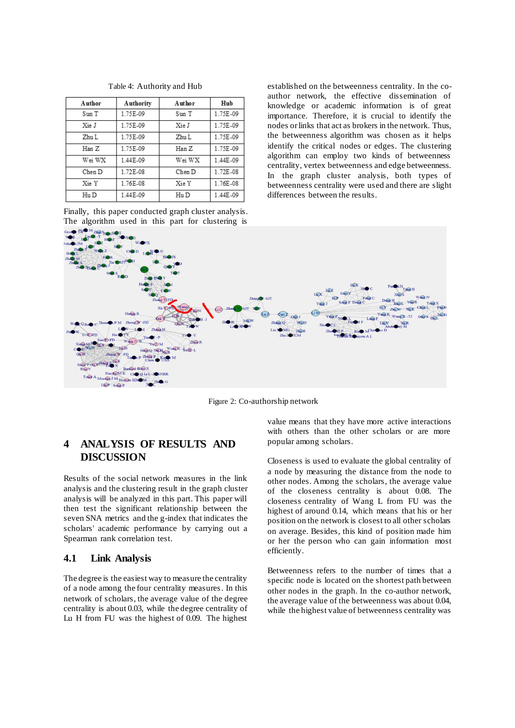| Author | Authority | Author | Hub      |
|--------|-----------|--------|----------|
| Sun T  | 1.75E-09  | Sun T  | 1.75E-09 |
| Xie J  | 1.75E-09  | Xie J  | 1.75E-09 |
| Zhu L  | 1.75E-09  | Zhu L  | 1.75E-09 |
| Han Z  | 1.75E-09  | Han Z  | 1.75E-09 |
| Wei WX | 1.44E-09  | Wei WX | 1.44E-09 |
| Chen D | 1.72E-08  | Chen D | 1.72E-08 |
| Xie Y  | 1.76E-08  | Xie Y  | 1.76E-08 |
| Hu D   | 1.44E-09  | Hu D   | 1.44E-09 |

Finally, this paper conducted graph cluster analysis. The algorithm used in this part for clustering is

established on the betweenness centrality. In the coauthor network, the effective dissemination of knowledge or academic information is of great importance. Therefore, it is crucial to identify the nodes or links that act as brokers in the network. Thus, the betweenness algorithm was chosen as it helps identify the critical nodes or edges. The clustering algorithm can employ two kinds of betweenness centrality, vertex betweenness and edge betweenness. In the graph cluster analysis, both types of betweenness centrality were used and there are slight differences between the results.



Figure 2: Co-authorship network

## **4 ANALYSIS OF RESULTS AND DISCUSSION**

Results of the social network measures in the link analysis and the clustering result in the graph cluster analysis will be analyzed in this part. This paper will then test the significant relationship between the seven SNA metrics and the g-index that indicates the scholars' academic performance by carrying out a Spearman rank correlation test.

### **4.1 Link Analysis**

The degree is the easiest way to measure the centrality of a node among the four centrality measures. In this network of scholars, the average value of the degree centrality is about 0.03, while the degree centrality of Lu H from FU was the highest of 0.09. The highest

value means that they have more active interactions with others than the other scholars or are more popular among scholars.

Closeness is used to evaluate the global centrality of a node by measuring the distance from the node to other nodes. Among the scholars, the average value of the closeness centrality is about 0.08. The closeness centrality of Wang L from FU was the highest of around 0.14, which means that his or her position on the network is closest to all other scholars on average. Besides, this kind of position made him or her the person who can gain information most efficiently.

Betweenness refers to the number of times that a specific node is located on the shortest path between other nodes in the graph. In the co-author network, the average value of the betweenness was about 0.04, while the highest value of betweenness centrality was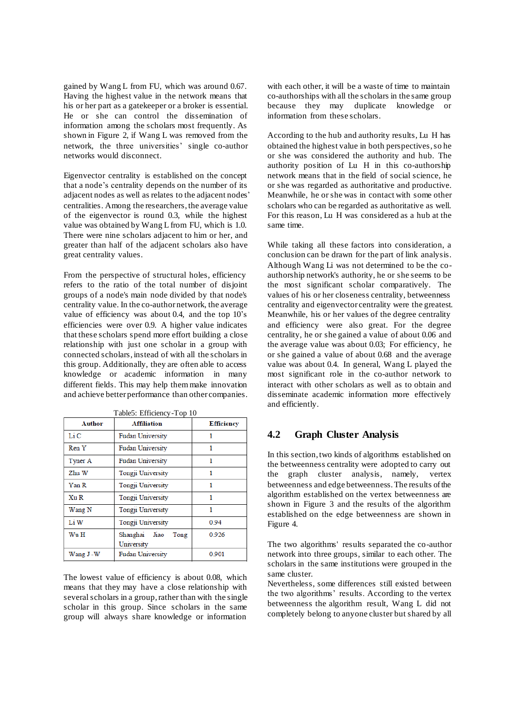gained by Wang L from FU, which was around 0.67. Having the highest value in the network means that his or her part as a gatekeeper or a broker is essential. He or she can control the dissemination of information among the scholars most frequently. As shown in Figure 2, if Wang L was removed from the network, the three universities' single co-author networks would disconnect.

Eigenvector centrality is established on the concept that a node's centrality depends on the number of its adjacent nodes as well as relates to the adjacent nodes' centralities. Among the researchers, the average value of the eigenvector is round 0.3, while the highest value was obtained by Wang L from FU, which is 1.0. There were nine scholars adjacent to him or her, and greater than half of the adjacent scholars also have great centrality values.

From the perspective of structural holes, efficiency refers to the ratio of the total number of disjoint groups of a node's main node divided by that node's centrality value. In the co-author network, the average value of efficiency was about 0.4, and the top 10's efficiencies were over 0.9. A higher value indicates that these scholars spend more effort building a close relationship with just one scholar in a group with connected scholars, instead of with all the scholars in this group. Additionally, they are often able to access knowledge or academic information in many different fields. This may help them make innovation and achieve better performance than other companies.

| Author         | Affiliation                         | <b>Efficiency</b> |  |  |
|----------------|-------------------------------------|-------------------|--|--|
| Li C           | <b>Fudan University</b>             | 1                 |  |  |
| Ren Y          | <b>Fudan University</b>             | 1                 |  |  |
| <b>Tyner A</b> | <b>Fudan University</b>             | 1                 |  |  |
| Zhu W          | Tongji University                   | 1                 |  |  |
| Yan R          | Tongji University                   | 1                 |  |  |
| Xu R           | Tongji University                   | 1                 |  |  |
| Wang N         | <b>Tongji University</b>            | 1                 |  |  |
| Li W           | Tongji University                   | 0.94              |  |  |
| Wu H           | Shanghai Jiao<br>Tong<br>University | 0.926             |  |  |
| Wang J -W      | <b>Fudan University</b>             | 0.901             |  |  |

Table5: Efficiency-Top 10

The lowest value of efficiency is about 0.08, which means that they may have a close relationship with several scholars in a group, rather than with the single scholar in this group. Since scholars in the same group will always share knowledge or information

with each other, it will be a waste of time to maintain co-authorships with all the scholars in the same group because they may duplicate knowledge or information from these scholars.

According to the hub and authority results, Lu H has obtained the highest value in both perspectives, so he or she was considered the authority and hub. The authority position of Lu H in this co-authorship network means that in the field of social science, he or she was regarded as authoritative and productive. Meanwhile, he or she was in contact with some other scholars who can be regarded as authoritative as well. For this reason, Lu H was considered as a hub at the same time.

While taking all these factors into consideration, a conclusion can be drawn for the part of link analysis. Although Wang Li was not determined to be the coauthorship network's authority, he or she seems to be the most significant scholar comparatively. The values of his or her closeness centrality, betweenness centrality and eigenvector centrality were the greatest. Meanwhile, his or her values of the degree centrality and efficiency were also great. For the degree centrality, he or she gained a value of about 0.06 and the average value was about 0.03; For efficiency, he or she gained a value of about 0.68 and the average value was about 0.4. In general, Wang L played the most significant role in the co-author network to interact with other scholars as well as to obtain and disseminate academic information more effectively and efficiently.

### **4.2 Graph Cluster Analysis**

In this section, two kinds of algorithms established on the betweenness centrality were adopted to carry out the graph cluster analysis, namely, vertex betweenness and edge betweenness. The results of the algorithm established on the vertex betweenness are shown in Figure 3 and the results of the algorithm established on the edge betweenness are shown in Figure 4.

The two algorithms' results separated the co-author network into three groups, similar to each other. The scholars in the same institutions were grouped in the same cluster.

Nevertheless, some differences still existed between the two algorithms' results. According to the vertex betweenness the algorithm result, Wang L did not completely belong to anyone cluster but shared by all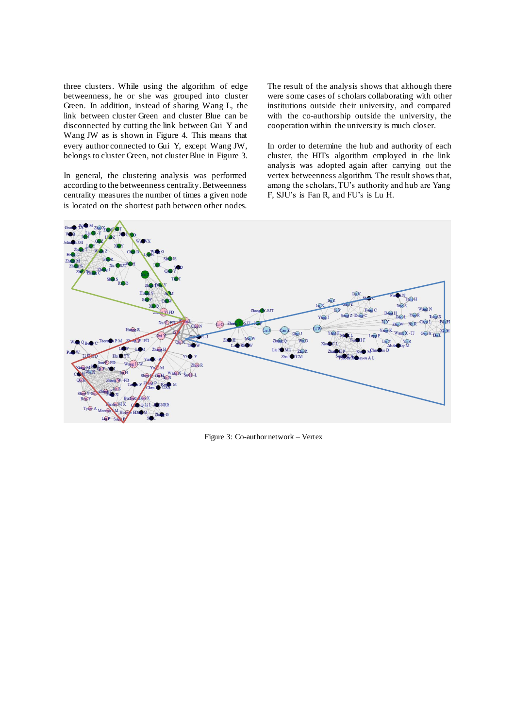three clusters. While using the algorithm of edge betweenness, he or she was grouped into cluster Green. In addition, instead of sharing Wang L, the link between cluster Green and cluster Blue can be disconnected by cutting the link between Gui Y and Wang JW as is shown in Figure 4. This means that every author connected to Gui Y, except Wang JW, belongs to cluster Green, not cluster Blue in Figure 3.

In general, the clustering analysis was performed according to the betweenness centrality. Betweenness centrality measures the number of times a given node is located on the shortest path between other nodes.

The result of the analysis shows that although there were some cases of scholars collaborating with other institutions outside their university, and compared with the co-authorship outside the university, the cooperation within the university is much closer.

In order to determine the hub and authority of each cluster, the HITs algorithm employed in the link analysis was adopted again after carrying out the vertex betweenness algorithm. The result shows that, among the scholars, TU's authority and hub are Yang F, SJU's is Fan R, and FU's is Lu H.



Figure 3: Co-author network – Vertex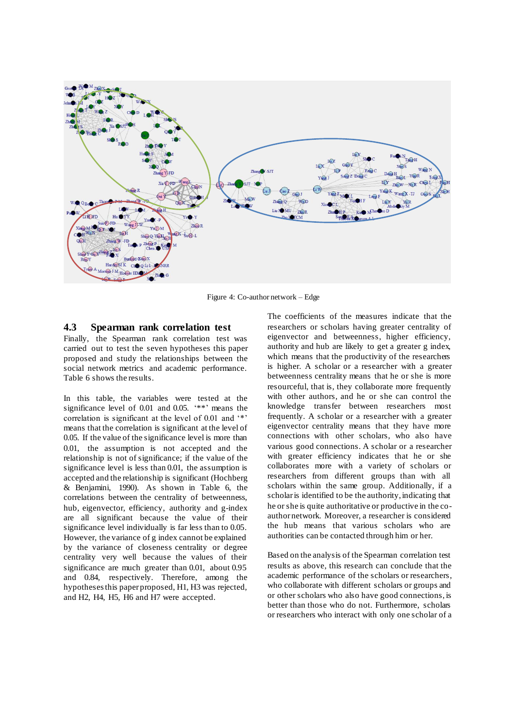

Figure 4: Co-author network – Edge

### **4.3 Spearman rank correlation test**

Finally, the Spearman rank correlation test was carried out to test the seven hypotheses this paper proposed and study the relationships between the social network metrics and academic performance. Table 6 shows the results.

In this table, the variables were tested at the significance level of 0.01 and 0.05. '\*\*' means the correlation is significant at the level of 0.01 and '\*' means that the correlation is significant at the level of 0.05. If the value of the significance level is more than 0.01, the assumption is not accepted and the relationship is not of significance; if the value of the significance level is less than 0.01, the assumption is accepted and the relationship is significant (Hochberg & Benjamini, 1990). As shown in Table 6, the correlations between the centrality of betweenness, hub, eigenvector, efficiency, authority and g-index are all significant because the value of their significance level individually is far less than to 0.05. However, the variance of g index cannot be explained by the variance of closeness centrality or degree centrality very well because the values of their significance are much greater than 0.01, about 0.95 and 0.84, respectively. Therefore, among the hypotheses this paper proposed, H1, H3 was rejected, and H2, H4, H5, H6 and H7 were accepted.

The coefficients of the measures indicate that the researchers or scholars having greater centrality of eigenvector and betweenness, higher efficiency, authority and hub are likely to get a greater g index, which means that the productivity of the researchers is higher. A scholar or a researcher with a greater betweenness centrality means that he or she is more resourceful, that is, they collaborate more frequently with other authors, and he or she can control the knowledge transfer between researchers most frequently. A scholar or a researcher with a greater eigenvector centrality means that they have more connections with other scholars, who also have various good connections. A scholar or a researcher with greater efficiency indicates that he or she collaborates more with a variety of scholars or researchers from different groups than with all scholars within the same group. Additionally, if a scholar is identified to be the authority, indicating that he or she is quite authoritative or productive in the coauthor network. Moreover, a researcher is considered the hub means that various scholars who are authorities can be contacted through him or her.

Based on the analysis of the Spearman correlation test results as above, this research can conclude that the academic performance of the scholars or researchers, who collaborate with different scholars or groups and or other scholars who also have good connections, is better than those who do not. Furthermore, scholars or researchers who interact with only one scholar of a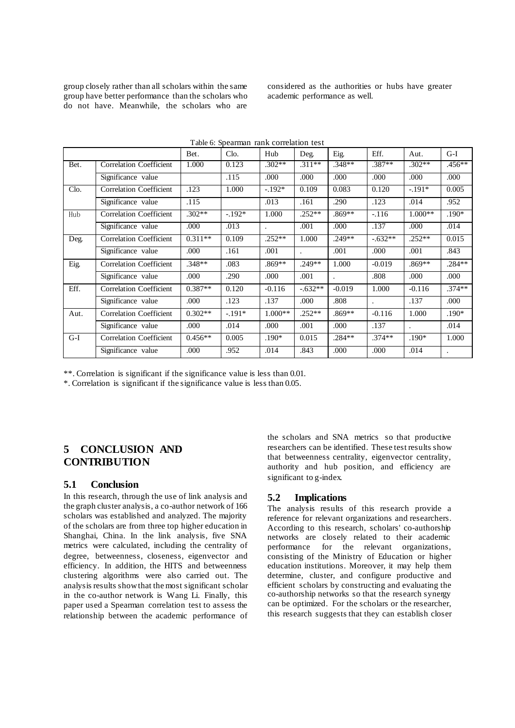group closely rather than all scholars within the same group have better performance than the scholars who do not have. Meanwhile, the scholars who are

considered as the authorities or hubs have greater academic performance as well.

| I abic 0. Spearman Tank conclution test |                                |           |          |           |           |          |           |           |          |
|-----------------------------------------|--------------------------------|-----------|----------|-----------|-----------|----------|-----------|-----------|----------|
|                                         |                                | Bet.      | Clo.     | Hub       | Deg.      | Eig.     | Eff.      | Aut.      | $G-I$    |
| Bet.                                    | <b>Correlation Coefficient</b> | 1.000     | 0.123    | $.302**$  | $.311**$  | $.348**$ | $.387**$  | $.302**$  | $.456**$ |
|                                         | Significance value             |           | .115     | .000      | .000      | .000     | .000      | .000      | .000     |
| Clo.                                    | <b>Correlation Coefficient</b> | .123      | 1.000    | $-.192*$  | 0.109     | 0.083    | 0.120     | $-.191*$  | 0.005    |
|                                         | Significance value             | .115      |          | .013      | .161      | .290     | .123      | .014      | .952     |
| Hub                                     | <b>Correlation Coefficient</b> | $.302**$  | $-.192*$ | 1.000     | $.252**$  | $.869**$ | $-116$    | $1.000**$ | .190*    |
|                                         | Significance value             | .000      | .013     |           | .001      | .000     | .137      | .000      | .014     |
| Deg.                                    | <b>Correlation Coefficient</b> | $0.311**$ | 0.109    | $.252**$  | 1.000     | .249**   | $-.632**$ | $.252**$  | 0.015    |
|                                         | Significance value             | .000      | .161     | .001      |           | .001     | .000      | .001      | .843     |
| Eig.                                    | <b>Correlation Coefficient</b> | $.348**$  | .083     | $.869**$  | $.249**$  | 1.000    | $-0.019$  | $.869**$  | $.284**$ |
|                                         | Significance value             | .000      | .290     | .000      | .001      |          | .808      | .000      | .000     |
| Eff.                                    | <b>Correlation Coefficient</b> | $0.387**$ | 0.120    | $-0.116$  | $-.632**$ | $-0.019$ | 1.000     | $-0.116$  | $.374**$ |
|                                         | Significance value             | .000      | .123     | .137      | .000      | .808     |           | .137      | .000     |
| Aut.                                    | <b>Correlation Coefficient</b> | $0.302**$ | $-.191*$ | $1.000**$ | $.252**$  | $.869**$ | $-0.116$  | 1.000     | $.190*$  |
|                                         | Significance value             | .000      | .014     | .000      | .001      | .000     | .137      |           | .014     |
| $G-I$                                   | <b>Correlation Coefficient</b> | $0.456**$ | 0.005    | $.190*$   | 0.015     | $.284**$ | $.374**$  | $.190*$   | 1.000    |
|                                         | Significance value             | .000      | .952     | .014      | .843      | .000     | .000      | .014      |          |

Table 6: Spearman rank correlation test

\*\*. Correlation is significant if the significance value is less than 0.01.

\*. Correlation is significant if the significance value is less than 0.05.

## **5 CONCLUSION AND CONTRIBUTION**

#### **5.1 Conclusion**

In this research, through the use of link analysis and the graph cluster analysis, a co-author network of 166 scholars was established and analyzed. The majority of the scholars are from three top higher education in Shanghai, China. In the link analysis, five SNA metrics were calculated, including the centrality of degree, betweenness, closeness, eigenvector and efficiency. In addition, the HITS and betweenness clustering algorithms were also carried out. The analysis results show that the most significant scholar in the co-author network is Wang Li. Finally, this paper used a Spearman correlation test to assess the relationship between the academic performance of the scholars and SNA metrics so that productive researchers can be identified. These test results show that betweenness centrality, eigenvector centrality, authority and hub position, and efficiency are significant to g-index.

#### **5.2 Implications**

The analysis results of this research provide a reference for relevant organizations and researchers. According to this research, scholars' co-authorship networks are closely related to their academic performance for the relevant organizations, consisting of the Ministry of Education or higher education institutions. Moreover, it may help them determine, cluster, and configure productive and efficient scholars by constructing and evaluating the co-authorship networks so that the research synergy can be optimized. For the scholars or the researcher, this research suggests that they can establish closer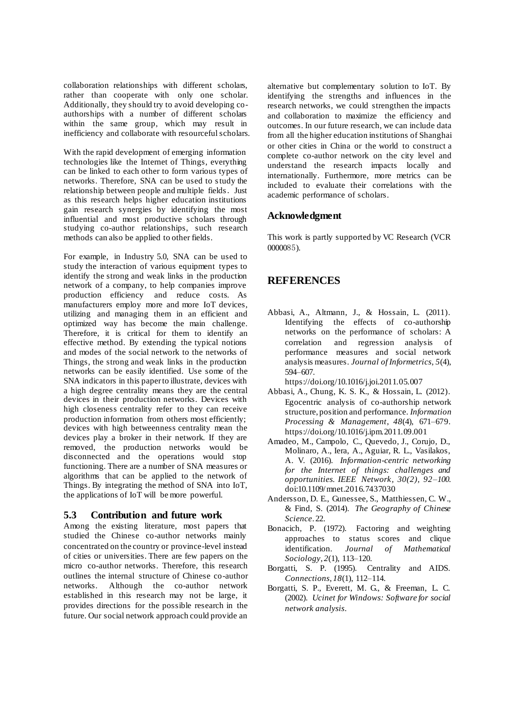collaboration relationships with different scholars, rather than cooperate with only one scholar. Additionally, they should try to avoid developing coauthorships with a number of different scholars within the same group, which may result in inefficiency and collaborate with resourceful scholars.

With the rapid development of emerging information technologies like the Internet of Things, everything can be linked to each other to form various types of networks. Therefore, SNA can be used to study the relationship between people and multiple fields. Just as this research helps higher education institutions gain research synergies by identifying the most influential and most productive scholars through studying co-author relationships, such research methods can also be applied to other fields.

For example, in Industry 5.0, SNA can be used to study the interaction of various equipment types to identify the strong and weak links in the production network of a company, to help companies improve production efficiency and reduce costs. As manufacturers employ more and more IoT devices, utilizing and managing them in an efficient and optimized way has become the main challenge. Therefore, it is critical for them to identify an effective method. By extending the typical notions and modes of the social network to the networks of Things, the strong and weak links in the production networks can be easily identified. Use some of the SNA indicators in this paper to illustrate, devices with a high degree centrality means they are the central devices in their production networks. Devices with high closeness centrality refer to they can receive production information from others most efficiently; devices with high betweenness centrality mean the devices play a broker in their network. If they are removed, the production networks would be disconnected and the operations would stop functioning. There are a number of SNA measures or algorithms that can be applied to the network of Things. By integrating the method of SNA into IoT, the applications of IoT will be more powerful.

#### **5.3 Contribution and future work**

Among the existing literature, most papers that studied the Chinese co-author networks mainly concentrated on the country or province-level instead of cities or universities. There are few papers on the micro co-author networks. Therefore, this research outlines the internal structure of Chinese co-author networks. Although the co-author network established in this research may not be large, it provides directions for the possible research in the future. Our social network approach could provide an

alternative but complementary solution to IoT. By identifying the strengths and influences in the research networks, we could strengthen the impacts and collaboration to maximize the efficiency and outcomes. In our future research, we can include data from all the higher education institutions of Shanghai or other cities in China or the world to construct a complete co-author network on the city level and understand the research impacts locally and internationally. Furthermore, more metrics can be included to evaluate their correlations with the academic performance of scholars.

### **Acknowledgment**

This work is partly supported by VC Research (VCR 0000085).

## **REFERENCES**

Abbasi, A., Altmann, J., & Hossain, L. (2011). Identifying the effects of co-authorship networks on the performance of scholars: A correlation and regression analysis of performance measures and social network analysis measures. *Journal of Informetrics*, *5*(4), 594–607.

https://doi.org/10.1016/j.joi.2011.05.007

- Abbasi, A., Chung, K. S. K., & Hossain, L. (2012). Egocentric analysis of co-authorship network structure, position and performance. *Information Processing & Management*, *48*(4), 671–679. https://doi.org/10.1016/j.ipm.2011.09.001
- Amadeo, M., Campolo, C., Quevedo, J., Corujo, D., Molinaro, A., Iera, A., Aguiar, R. L., Vasilakos, A. V. (2016). *Information-centric networking for the Internet of things: challenges and opportunities. IEEE Network, 30(2), 92–100.* doi:10.1109/mnet.2016.7437030
- Andersson, D. E., Gunessee, S., Matthiessen, C. W., & Find, S. (2014). *The Geography of Chinese Science*. 22.
- Bonacich, P. (1972). Factoring and weighting approaches to status scores and clique identification. *Journal of Mathematical Sociology*, *2*(1), 113–120.
- Borgatti, S. P. (1995). Centrality and AIDS. *Connections*, *18*(1), 112–114.
- Borgatti, S. P., Everett, M. G., & Freeman, L. C. (2002). *Ucinet for Windows: Software for social network analysis*.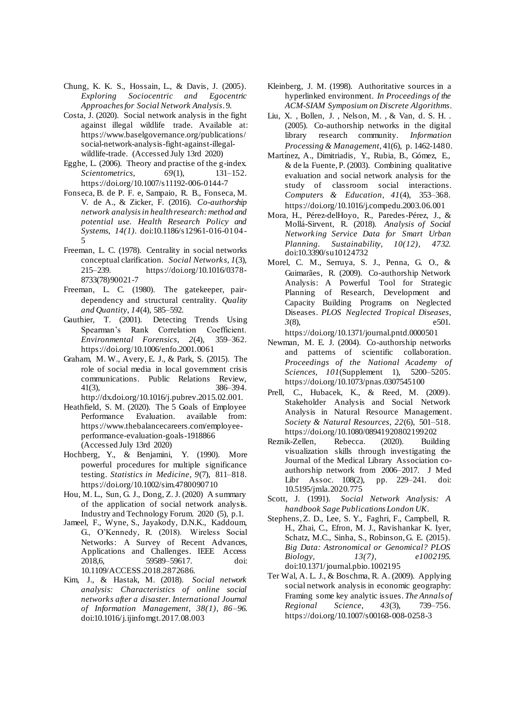- Chung, K. K. S., Hossain, L., & Davis, J. (2005). *Exploring Sociocentric and Egocentric Approaches for Social Network Analysis*. 9.
- Costa, J. (2020). Social network analysis in the fight against illegal wildlife trade. Available at: https://www.baselgovernance.org/publications/ social-network-analysis-fight-against-illegalwildlife-trade. (Accessed July 13rd 2020)
- Egghe, L. (2006). Theory and practise of the g-index. *Scientometrics*, *69*(1), 131–152. https://doi.org/10.1007/s11192-006-0144-7
- Fonseca, B. de P. F. e, Sampaio, R. B., Fonseca, M. V. de A., & Zicker, F. (2016). *Co-authorship network analysis in health research: method and potential use. Health Research Policy and Systems, 14(1).* doi:10.1186/s12961-016-0104- 5
- Freeman, L. C. (1978). Centrality in social networks conceptual clarification. *Social Networks*, *1*(3), 215–239. https://doi.org/10.1016/0378- 8733(78)90021-7
- Freeman, L. C. (1980). The gatekeeper, pairdependency and structural centrality. *Quality and Quantity*, *14*(4), 585–592.
- Gauthier, T. (2001). Detecting Trends Using Spearman's Rank Correlation Coefficient. *Environmental Forensics*, *2*(4), 359–362. https://doi.org/10.1006/enfo.2001.0061
- Graham, M. W., Avery, E. J., & Park, S. (2015). The role of social media in local government crisis communications. Public Relations Review, 41(3), 386–394. http://dx.doi.org/10.1016/j.pubrev.2015.02.001.
- Heathfield, S. M. (2020). The 5 Goals of Employee Performance Evaluation. available from: https://www.thebalancecareers.com/employeeperformance-evaluation-goals-1918866 (Accessed July 13rd 2020)
- Hochberg, Y., & Benjamini, Y. (1990). More powerful procedures for multiple significance testing. *Statistics in Medicine*, *9*(7), 811–818. https://doi.org/10.1002/sim.4780090710
- Hou, M. L., Sun, G. J., Dong, Z. J. (2020) A summary of the application of social network analysis. Industry and Technology Forum. 2020 (5), p.1.
- Jameel, F., Wyne, S., Jayakody, D.N.K., Kaddoum, G., O'Kennedy, R. (2018). Wireless Social Networks: A Survey of Recent Advances, Applications and Challenges. IEEE Access 2018,6, 59589–59617. doi: 10.1109/ACCESS.2018.2872686.
- Kim, J., & Hastak, M. (2018). *Social network analysis: Characteristics of online social networks after a disaster. International Journal of Information Management, 38(1), 86–96.* doi:10.1016/j.ijinfomgt.2017.08.003
- Kleinberg, J. M. (1998). Authoritative sources in a hyperlinked environment. *In Proceedings of the ACM-SIAM Symposium on Discrete Algorithms*.
- Liu, X. , Bollen, J. , Nelson, M. , & Van, d. S. H. . (2005). Co-authorship networks in the digital library research community. *Information Processing & Management,* 41(6), p. 1462-1480.
- Martínez, A., Dimitriadis, Y., Rubia, B., Gómez, E., & de la Fuente, P. (2003). Combining qualitative evaluation and social network analysis for the study of classroom social interactions. *Computers & Education*, *41*(4), 353–368. https://doi.org/10.1016/j.compedu.2003.06.001
- Mora, H., Pérez-delHoyo, R., Paredes-Pérez, J., & Mollá-Sirvent, R. (2018). *Analysis of Social Networking Service Data for Smart Urban Planning. Sustainability, 10(12), 4732.* doi:10.3390/su10124732
- Morel, C. M., Serruya, S. J., Penna, G. O., & Guimarães, R. (2009). Co-authorship Network Analysis: A Powerful Tool for Strategic Planning of Research, Development and Capacity Building Programs on Neglected Diseases. *PLOS Neglected Tropical Diseases*,  $3(8)$ , e501. https://doi.org/10.1371/journal.pntd.0000501
- Newman, M. E. J. (2004). Co-authorship networks and patterns of scientific collaboration. *Proceedings of the National Academy of Sciences*, *101*(Supplement 1), 5200-5205. https://doi.org/10.1073/pnas.0307545100
- Prell, C., Hubacek, K., & Reed, M. (2009). Stakeholder Analysis and Social Network Analysis in Natural Resource Management. *Society & Natural Resources*, *22*(6), 501–518. https://doi.org/10.1080/08941920802199202
- Reznik-Zellen, Rebecca. (2020). Building visualization skills through investigating the Journal of the Medical Library Association coauthorship network from 2006–2017. J Med Libr Assoc. 108(2), pp. 229–241. doi: 10.5195/jmla.2020.775
- Scott, J. (1991). *Social Network Analysis: A handbook Sage Publications London UK*.
- Stephens, Z. D., Lee, S. Y., Faghri, F., Campbell, R. H., Zhai, C., Efron, M. J., Ravishankar K. Iyer, Schatz, M.C., Sinha, S., Robinson, G. E. (2015). *Big Data: Astronomical or Genomical? PLOS Biology, 13(7), e1002195.* doi:10.1371/journal.pbio.1002195
- Ter Wal, A. L. J., & Boschma, R. A. (2009). Applying social network analysis in economic geography: Framing some key analytic issues. *The Annals of Regional Science*, *43*(3), 739–756. https://doi.org/10.1007/s00168-008-0258-3